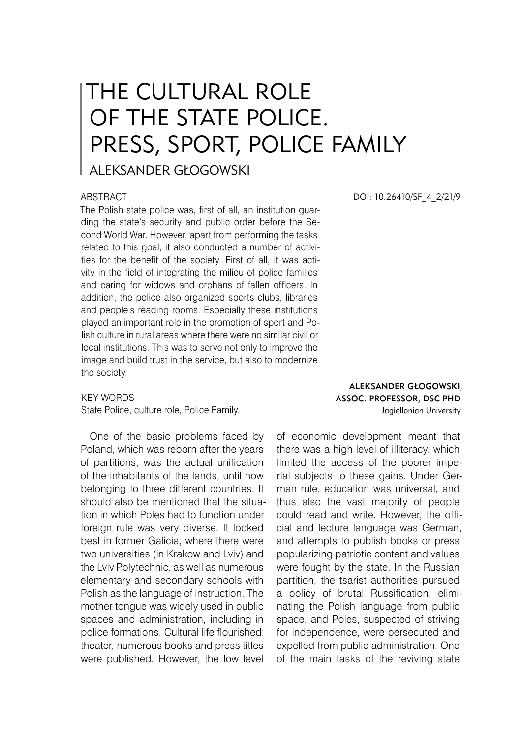## THE CULTURAL ROLE OF THE STATE POLICE. PRESS, SPORT, POLICE FAMILY

ALEKSANDER GŁOGOWSKI

## ABSTRACT

The Polish state police was, first of all, an institution guarding the state's security and public order before the Second World War. However, apart from performing the tasks related to this goal, it also conducted a number of activities for the benefit of the society. First of all, it was activity in the field of integrating the milieu of police families and caring for widows and orphans of fallen officers. In addition, the police also organized sports clubs, libraries and people's reading rooms. Especially these institutions played an important role in the promotion of sport and Polish culture in rural areas where there were no similar civil or local institutions. This was to serve not only to improve the image and build trust in the service, but also to modernize the society.

KEY WORDS State Police, culture role, Police Family.

One of the basic problems faced by Poland, which was reborn after the years of partitions, was the actual unification of the inhabitants of the lands, until now belonging to three different countries. It should also be mentioned that the situation in which Poles had to function under foreign rule was very diverse. It looked best in former Galicia, where there were two universities (in Krakow and Lviv) and the Lviv Polytechnic, as well as numerous elementary and secondary schools with Polish as the language of instruction. The mother tongue was widely used in public spaces and administration, including in police formations. Cultural life flourished: theater, numerous books and press titles were published. However, the low level DOI: 10.26410/SF\_4\_2/21/9

Aleksander Głogowski, Assoc. Professor, DSc PhD Jagiellonian University

of economic development meant that there was a high level of illiteracy, which limited the access of the poorer imperial subjects to these gains. Under German rule, education was universal, and thus also the vast majority of people could read and write. However, the official and lecture language was German, and attempts to publish books or press popularizing patriotic content and values were fought by the state. In the Russian partition, the tsarist authorities pursued a policy of brutal Russification, eliminating the Polish language from public space, and Poles, suspected of striving for independence, were persecuted and expelled from public administration. One of the main tasks of the reviving state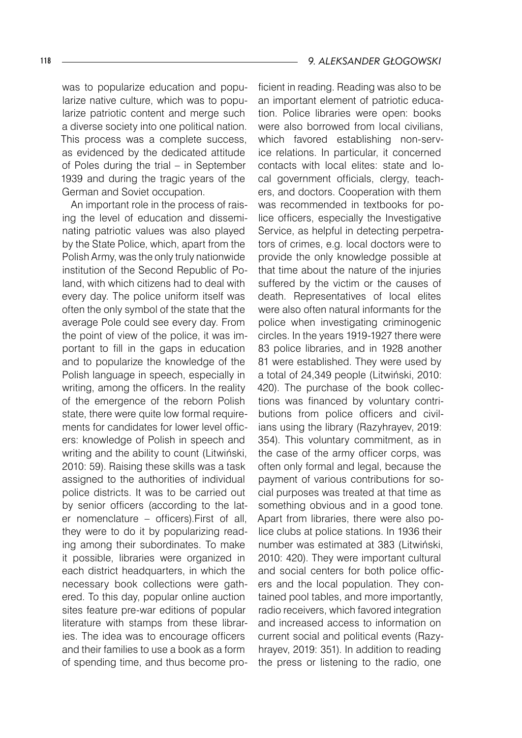was to popularize education and popularize native culture, which was to popularize patriotic content and merge such a diverse society into one political nation. This process was a complete success, as evidenced by the dedicated attitude of Poles during the trial – in September 1939 and during the tragic years of the German and Soviet occupation.

An important role in the process of raising the level of education and disseminating patriotic values was also played by the State Police, which, apart from the Polish Army, was the only truly nationwide institution of the Second Republic of Poland, with which citizens had to deal with every day. The police uniform itself was often the only symbol of the state that the average Pole could see every day. From the point of view of the police, it was important to fill in the gaps in education and to popularize the knowledge of the Polish language in speech, especially in writing, among the officers. In the reality of the emergence of the reborn Polish state, there were quite low formal requirements for candidates for lower level officers: knowledge of Polish in speech and writing and the ability to count (Litwiński, 2010: 59). Raising these skills was a task assigned to the authorities of individual police districts. It was to be carried out by senior officers (according to the later nomenclature – officers).First of all, they were to do it by popularizing reading among their subordinates. To make it possible, libraries were organized in each district headquarters, in which the necessary book collections were gathered. To this day, popular online auction sites feature pre-war editions of popular literature with stamps from these libraries. The idea was to encourage officers and their families to use a book as a form of spending time, and thus become proficient in reading. Reading was also to be an important element of patriotic education. Police libraries were open: books were also borrowed from local civilians, which favored establishing non-service relations. In particular, it concerned contacts with local elites: state and local government officials, clergy, teachers, and doctors. Cooperation with them was recommended in textbooks for police officers, especially the Investigative Service, as helpful in detecting perpetrators of crimes, e.g. local doctors were to provide the only knowledge possible at that time about the nature of the injuries suffered by the victim or the causes of death. Representatives of local elites were also often natural informants for the police when investigating criminogenic circles. In the years 1919-1927 there were 83 police libraries, and in 1928 another 81 were established. They were used by a total of 24,349 people (Litwiński, 2010: 420). The purchase of the book collections was financed by voluntary contributions from police officers and civilians using the library (Razyhrayev, 2019: 354). This voluntary commitment, as in the case of the army officer corps, was often only formal and legal, because the payment of various contributions for social purposes was treated at that time as something obvious and in a good tone. Apart from libraries, there were also police clubs at police stations. In 1936 their number was estimated at 383 (Litwiński, 2010: 420). They were important cultural and social centers for both police officers and the local population. They contained pool tables, and more importantly, radio receivers, which favored integration and increased access to information on current social and political events (Razyhrayev, 2019: 351). In addition to reading the press or listening to the radio, one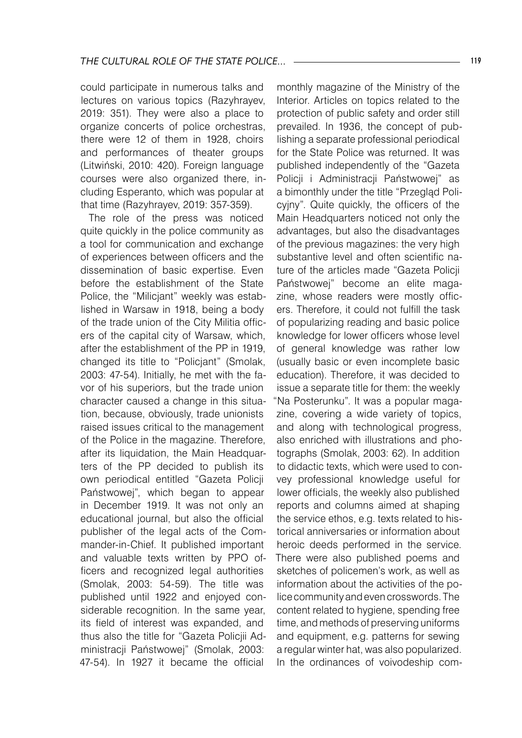could participate in numerous talks and lectures on various topics (Razyhrayev, 2019: 351). They were also a place to organize concerts of police orchestras, there were 12 of them in 1928, choirs and performances of theater groups (Litwiński, 2010: 420). Foreign language courses were also organized there, including Esperanto, which was popular at that time (Razyhrayev, 2019: 357-359).

The role of the press was noticed quite quickly in the police community as a tool for communication and exchange of experiences between officers and the dissemination of basic expertise. Even before the establishment of the State Police, the "Milicjant" weekly was established in Warsaw in 1918, being a body of the trade union of the City Militia officers of the capital city of Warsaw, which, after the establishment of the PP in 1919, changed its title to "Policjant" (Smolak, 2003: 47-54). Initially, he met with the favor of his superiors, but the trade union character caused a change in this situation, because, obviously, trade unionists raised issues critical to the management of the Police in the magazine. Therefore, after its liquidation, the Main Headquarters of the PP decided to publish its own periodical entitled "Gazeta Policji Państwowej", which began to appear in December 1919. It was not only an educational journal, but also the official publisher of the legal acts of the Commander-in-Chief. It published important and valuable texts written by PPO officers and recognized legal authorities (Smolak, 2003: 54-59). The title was published until 1922 and enjoyed considerable recognition. In the same year, its field of interest was expanded, and thus also the title for "Gazeta Policjii Administracji Państwowej" (Smolak, 2003: 47-54). In 1927 it became the official

monthly magazine of the Ministry of the Interior. Articles on topics related to the protection of public safety and order still prevailed. In 1936, the concept of publishing a separate professional periodical for the State Police was returned. It was published independently of the "Gazeta Policji i Administracji Państwowej" as a bimonthly under the title "Przegląd Policyjny". Quite quickly, the officers of the Main Headquarters noticed not only the advantages, but also the disadvantages of the previous magazines: the very high substantive level and often scientific nature of the articles made "Gazeta Policii Państwowej" become an elite magazine, whose readers were mostly officers. Therefore, it could not fulfill the task of popularizing reading and basic police knowledge for lower officers whose level of general knowledge was rather low (usually basic or even incomplete basic education). Therefore, it was decided to issue a separate title for them: the weekly "Na Posterunku". It was a popular magazine, covering a wide variety of topics, and along with technological progress, also enriched with illustrations and photographs (Smolak, 2003: 62). In addition to didactic texts, which were used to convey professional knowledge useful for lower officials, the weekly also published reports and columns aimed at shaping the service ethos, e.g. texts related to historical anniversaries or information about heroic deeds performed in the service. There were also published poems and sketches of policemen's work, as well as information about the activities of the police community and even crosswords. The content related to hygiene, spending free time, and methods of preserving uniforms and equipment, e.g. patterns for sewing a regular winter hat, was also popularized. In the ordinances of voivodeship com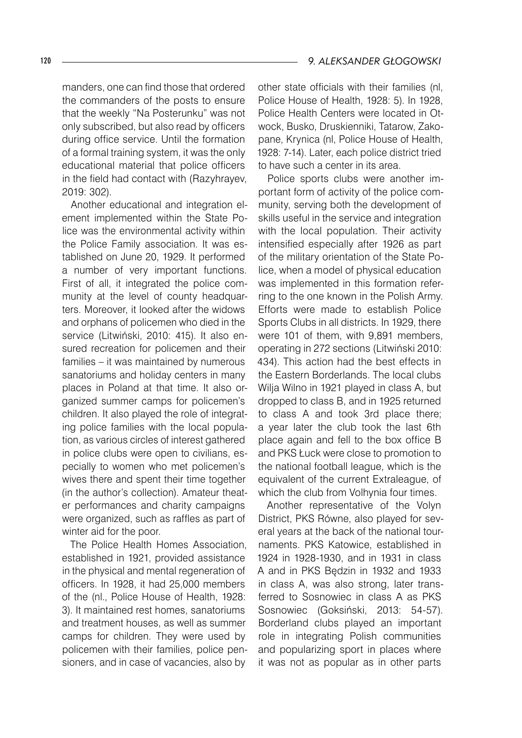120 *9. ALEKSANDER GŁOGOWSKI*

manders, one can find those that ordered the commanders of the posts to ensure that the weekly "Na Posterunku" was not only subscribed, but also read by officers during office service. Until the formation of a formal training system, it was the only educational material that police officers in the field had contact with (Razyhrayev, 2019: 302).

Another educational and integration element implemented within the State Police was the environmental activity within the Police Family association. It was established on June 20, 1929. It performed a number of very important functions. First of all, it integrated the police community at the level of county headquarters. Moreover, it looked after the widows and orphans of policemen who died in the service (Litwiński, 2010: 415). It also ensured recreation for policemen and their families – it was maintained by numerous sanatoriums and holiday centers in many places in Poland at that time. It also organized summer camps for policemen's children. It also played the role of integrating police families with the local population, as various circles of interest gathered in police clubs were open to civilians, especially to women who met policemen's wives there and spent their time together (in the author's collection). Amateur theater performances and charity campaigns were organized, such as raffles as part of winter aid for the poor.

The Police Health Homes Association, established in 1921, provided assistance in the physical and mental regeneration of officers. In 1928, it had 25,000 members of the (nl., Police House of Health, 1928: 3). It maintained rest homes, sanatoriums and treatment houses, as well as summer camps for children. They were used by policemen with their families, police pensioners, and in case of vacancies, also by

other state officials with their families (nl, Police House of Health, 1928: 5). In 1928, Police Health Centers were located in Otwock, Busko, Druskienniki, Tatarow, Zakopane, Krynica (nl, Police House of Health, 1928: 7-14). Later, each police district tried to have such a center in its area.

Police sports clubs were another important form of activity of the police community, serving both the development of skills useful in the service and integration with the local population. Their activity intensified especially after 1926 as part of the military orientation of the State Police, when a model of physical education was implemented in this formation referring to the one known in the Polish Army. Efforts were made to establish Police Sports Clubs in all districts. In 1929, there were 101 of them, with 9,891 members, operating in 272 sections (Litwiński 2010: 434). This action had the best effects in the Eastern Borderlands. The local clubs Wilja Wilno in 1921 played in class A, but dropped to class B, and in 1925 returned to class A and took 3rd place there; a year later the club took the last 6th place again and fell to the box office B and PKS Łuck were close to promotion to the national football league, which is the equivalent of the current Extraleague, of which the club from Volhynia four times.

Another representative of the Volyn District, PKS Równe, also played for several years at the back of the national tournaments. PKS Katowice, established in 1924 in 1928-1930, and in 1931 in class A and in PKS Będzin in 1932 and 1933 in class A, was also strong, later transferred to Sosnowiec in class A as PKS Sosnowiec (Goksiński, 2013: 54-57). Borderland clubs played an important role in integrating Polish communities and popularizing sport in places where it was not as popular as in other parts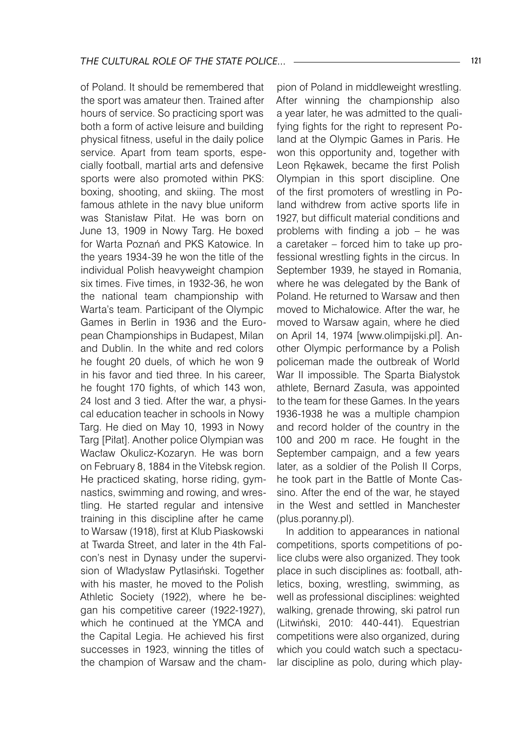of Poland. It should be remembered that the sport was amateur then. Trained after hours of service. So practicing sport was both a form of active leisure and building physical fitness, useful in the daily police service. Apart from team sports, especially football, martial arts and defensive sports were also promoted within PKS: boxing, shooting, and skiing. The most famous athlete in the navy blue uniform was Stanisław Piłat. He was born on June 13, 1909 in Nowy Targ. He boxed for Warta Poznań and PKS Katowice. In the years 1934-39 he won the title of the individual Polish heavyweight champion six times. Five times, in 1932-36, he won the national team championship with Warta's team. Participant of the Olympic Games in Berlin in 1936 and the European Championships in Budapest, Milan and Dublin. In the white and red colors he fought 20 duels, of which he won 9 in his favor and tied three. In his career, he fought 170 fights, of which 143 won, 24 lost and 3 tied. After the war, a physical education teacher in schools in Nowy Targ. He died on May 10, 1993 in Nowy Targ [Piłat]. Another police Olympian was Wacław Okulicz-Kozaryn. He was born on February 8, 1884 in the Vitebsk region. He practiced skating, horse riding, gymnastics, swimming and rowing, and wrestling. He started regular and intensive training in this discipline after he came to Warsaw (1918), first at Klub Piaskowski at Twarda Street, and later in the 4th Falcon's nest in Dynasy under the supervision of Władysław Pytlasiński. Together with his master, he moved to the Polish Athletic Society (1922), where he began his competitive career (1922-1927), which he continued at the YMCA and the Capital Legia. He achieved his first successes in 1923, winning the titles of the champion of Warsaw and the champion of Poland in middleweight wrestling. After winning the championship also a year later, he was admitted to the qualifying fights for the right to represent Poland at the Olympic Games in Paris. He won this opportunity and, together with Leon Rękawek, became the first Polish Olympian in this sport discipline. One of the first promoters of wrestling in Poland withdrew from active sports life in 1927, but difficult material conditions and problems with finding a job – he was a caretaker – forced him to take up professional wrestling fights in the circus. In September 1939, he stayed in Romania, where he was delegated by the Bank of Poland. He returned to Warsaw and then moved to Michałowice. After the war, he moved to Warsaw again, where he died on April 14, 1974 [www.olimpijski.pl]. Another Olympic performance by a Polish policeman made the outbreak of World War II impossible. The Sparta Białystok athlete, Bernard Zasuła, was appointed to the team for these Games. In the years 1936-1938 he was a multiple champion and record holder of the country in the 100 and 200 m race. He fought in the September campaign, and a few years later, as a soldier of the Polish II Corps, he took part in the Battle of Monte Cassino. After the end of the war, he stayed in the West and settled in Manchester (plus.poranny.pl).

In addition to appearances in national competitions, sports competitions of police clubs were also organized. They took place in such disciplines as: football, athletics, boxing, wrestling, swimming, as well as professional disciplines: weighted walking, grenade throwing, ski patrol run (Litwiński, 2010: 440-441). Equestrian competitions were also organized, during which you could watch such a spectacular discipline as polo, during which play